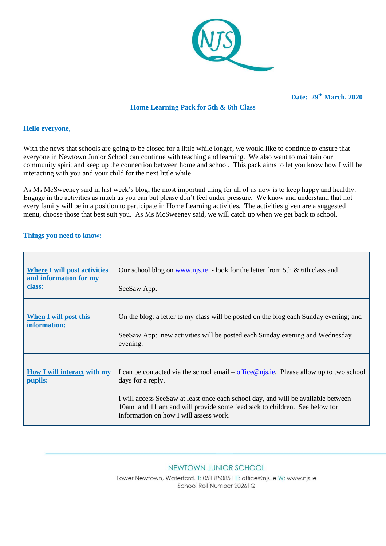

# **Home Learning Pack for 5th & 6th Class**

#### **Hello everyone,**

With the news that schools are going to be closed for a little while longer, we would like to continue to ensure that everyone in Newtown Junior School can continue with teaching and learning. We also want to maintain our community spirit and keep up the connection between home and school. This pack aims to let you know how I will be interacting with you and your child for the next little while.

As Ms McSweeney said in last week's blog, the most important thing for all of us now is to keep happy and healthy. Engage in the activities as much as you can but please don't feel under pressure. We know and understand that not every family will be in a position to participate in Home Learning activities. The activities given are a suggested menu, choose those that best suit you. As Ms McSweeney said, we will catch up when we get back to school.

#### **Things you need to know:**

| <b>Where I will post activities</b><br>and information for my<br>class: | Our school blog on www.njs.ie - look for the letter from 5th & 6th class and<br>SeeSaw App.                                                                                                                                                                                                                                |
|-------------------------------------------------------------------------|----------------------------------------------------------------------------------------------------------------------------------------------------------------------------------------------------------------------------------------------------------------------------------------------------------------------------|
| <b>When I will post this</b><br>information:                            | On the blog: a letter to my class will be posted on the blog each Sunday evening; and<br>SeeSaw App: new activities will be posted each Sunday evening and Wednesday<br>evening.                                                                                                                                           |
| <b>How I will interact with my</b><br>pupils:                           | I can be contacted via the school email – office $@$ njs.ie. Please allow up to two school<br>days for a reply.<br>I will access SeeSaw at least once each school day, and will be available between<br>10am and 11 am and will provide some feedback to children. See below for<br>information on how I will assess work. |

#### NEWTOWN JUNIOR SCHOOL

Lower Newtown, Waterford. T: 051 850851 E: office@njs.ie W: www.njs.ie School Roll Number 20261Q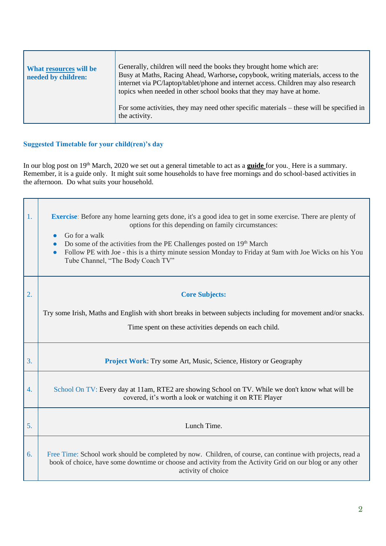| What resources will be<br>needed by children: | Generally, children will need the books they brought home which are:<br>Busy at Maths, Racing Ahead, Warhorse, copybook, writing materials, access to the<br>internet via PC/laptop/tablet/phone and internet access. Children may also research<br>topics when needed in other school books that they may have at home. |
|-----------------------------------------------|--------------------------------------------------------------------------------------------------------------------------------------------------------------------------------------------------------------------------------------------------------------------------------------------------------------------------|
|                                               | For some activities, they may need other specific materials – these will be specified in<br>the activity.                                                                                                                                                                                                                |

# **Suggested Timetable for your child(ren)'s day**

In our blog post on 19th March, 2020 we set out a general timetable to act as a **guide** for you. Here is a summary. Remember, it is a guide only. It might suit some households to have free mornings and do school-based activities in the afternoon. Do what suits your household.

| $\mathbf{1}$ .   | <b>Exercise</b> : Before any home learning gets done, it's a good idea to get in some exercise. There are plenty of<br>options for this depending on family circumstances:<br>Go for a walk<br>Do some of the activities from the PE Challenges posted on 19 <sup>th</sup> March<br>Follow PE with Joe - this is a thirty minute session Monday to Friday at 9am with Joe Wicks on his You<br>$\bullet$<br>Tube Channel, "The Body Coach TV" |
|------------------|----------------------------------------------------------------------------------------------------------------------------------------------------------------------------------------------------------------------------------------------------------------------------------------------------------------------------------------------------------------------------------------------------------------------------------------------|
| 2.               | <b>Core Subjects:</b>                                                                                                                                                                                                                                                                                                                                                                                                                        |
|                  | Try some Irish, Maths and English with short breaks in between subjects including for movement and/or snacks.                                                                                                                                                                                                                                                                                                                                |
|                  | Time spent on these activities depends on each child.                                                                                                                                                                                                                                                                                                                                                                                        |
| 3.               | <b>Project Work:</b> Try some Art, Music, Science, History or Geography                                                                                                                                                                                                                                                                                                                                                                      |
| $\overline{4}$ . | School On TV: Every day at 11am, RTE2 are showing School on TV. While we don't know what will be<br>covered, it's worth a look or watching it on RTE Player                                                                                                                                                                                                                                                                                  |
| 5.               | Lunch Time.                                                                                                                                                                                                                                                                                                                                                                                                                                  |
| 6.               | Free Time: School work should be completed by now. Children, of course, can continue with projects, read a<br>book of choice, have some downtime or choose and activity from the Activity Grid on our blog or any other<br>activity of choice                                                                                                                                                                                                |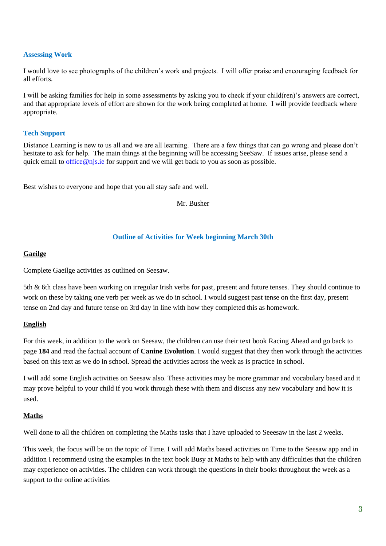### **Assessing Work**

I would love to see photographs of the children's work and projects. I will offer praise and encouraging feedback for all efforts.

I will be asking families for help in some assessments by asking you to check if your child(ren)'s answers are correct, and that appropriate levels of effort are shown for the work being completed at home. I will provide feedback where appropriate.

## **Tech Support**

Distance Learning is new to us all and we are all learning. There are a few things that can go wrong and please don't hesitate to ask for help. The main things at the beginning will be accessing SeeSaw. If issues arise, please send a quick email t[o office@njs.ie](mailto:office@njs.ie) for support and we will get back to you as soon as possible.

Best wishes to everyone and hope that you all stay safe and well.

Mr. Busher

# **Outline of Activities for Week beginning March 30th**

## **Gaeilge**

Complete Gaeilge activities as outlined on Seesaw.

5th & 6th class have been working on irregular Irish verbs for past, present and future tenses. They should continue to work on these by taking one verb per week as we do in school. I would suggest past tense on the first day, present tense on 2nd day and future tense on 3rd day in line with how they completed this as homework.

# **English**

For this week, in addition to the work on Seesaw, the children can use their text book Racing Ahead and go back to page **184** and read the factual account of **Canine Evolution**. I would suggest that they then work through the activities based on this text as we do in school. Spread the activities across the week as is practice in school.

I will add some English activities on Seesaw also. These activities may be more grammar and vocabulary based and it may prove helpful to your child if you work through these with them and discuss any new vocabulary and how it is used.

# **Maths**

Well done to all the children on completing the Maths tasks that I have uploaded to Seeesaw in the last 2 weeks.

This week, the focus will be on the topic of Time. I will add Maths based activities on Time to the Seesaw app and in addition I recommend using the examples in the text book Busy at Maths to help with any difficulties that the children may experience on activities. The children can work through the questions in their books throughout the week as a support to the online activities